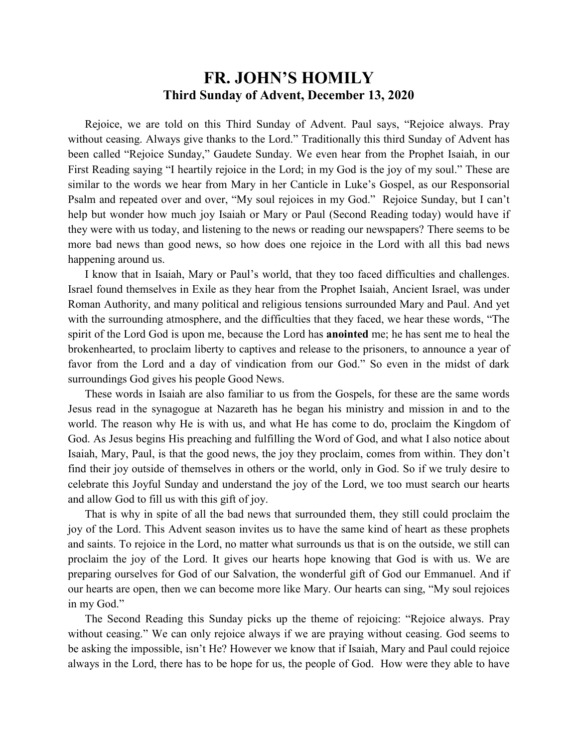## **FR. JOHN'S HOMILY Third Sunday of Advent, December 13, 2020**

 Rejoice, we are told on this Third Sunday of Advent. Paul says, "Rejoice always. Pray without ceasing. Always give thanks to the Lord." Traditionally this third Sunday of Advent has been called "Rejoice Sunday," Gaudete Sunday. We even hear from the Prophet Isaiah, in our First Reading saying "I heartily rejoice in the Lord; in my God is the joy of my soul." These are similar to the words we hear from Mary in her Canticle in Luke's Gospel, as our Responsorial Psalm and repeated over and over, "My soul rejoices in my God." Rejoice Sunday, but I can't help but wonder how much joy Isaiah or Mary or Paul (Second Reading today) would have if they were with us today, and listening to the news or reading our newspapers? There seems to be more bad news than good news, so how does one rejoice in the Lord with all this bad news happening around us.

 I know that in Isaiah, Mary or Paul's world, that they too faced difficulties and challenges. Israel found themselves in Exile as they hear from the Prophet Isaiah, Ancient Israel, was under Roman Authority, and many political and religious tensions surrounded Mary and Paul. And yet with the surrounding atmosphere, and the difficulties that they faced, we hear these words, "The spirit of the Lord God is upon me, because the Lord has **anointed** me; he has sent me to heal the brokenhearted, to proclaim liberty to captives and release to the prisoners, to announce a year of favor from the Lord and a day of vindication from our God." So even in the midst of dark surroundings God gives his people Good News.

 These words in Isaiah are also familiar to us from the Gospels, for these are the same words Jesus read in the synagogue at Nazareth has he began his ministry and mission in and to the world. The reason why He is with us, and what He has come to do, proclaim the Kingdom of God. As Jesus begins His preaching and fulfilling the Word of God, and what I also notice about Isaiah, Mary, Paul, is that the good news, the joy they proclaim, comes from within. They don't find their joy outside of themselves in others or the world, only in God. So if we truly desire to celebrate this Joyful Sunday and understand the joy of the Lord, we too must search our hearts and allow God to fill us with this gift of joy.

 That is why in spite of all the bad news that surrounded them, they still could proclaim the joy of the Lord. This Advent season invites us to have the same kind of heart as these prophets and saints. To rejoice in the Lord, no matter what surrounds us that is on the outside, we still can proclaim the joy of the Lord. It gives our hearts hope knowing that God is with us. We are preparing ourselves for God of our Salvation, the wonderful gift of God our Emmanuel. And if our hearts are open, then we can become more like Mary. Our hearts can sing, "My soul rejoices in my God."

 The Second Reading this Sunday picks up the theme of rejoicing: "Rejoice always. Pray without ceasing." We can only rejoice always if we are praying without ceasing. God seems to be asking the impossible, isn't He? However we know that if Isaiah, Mary and Paul could rejoice always in the Lord, there has to be hope for us, the people of God. How were they able to have